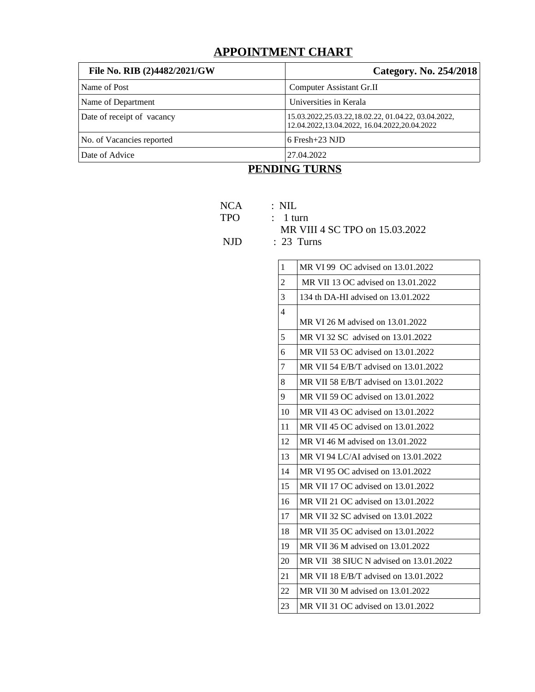# **APPOINTMENT CHART**

| File No. RIB (2)4482/2021/GW | Category. No. 254/2018                                                                              |
|------------------------------|-----------------------------------------------------------------------------------------------------|
| Name of Post                 | Computer Assistant Gr.II                                                                            |
| Name of Department           | Universities in Kerala                                                                              |
| Date of receipt of vacancy   | 15.03.2022,25.03.22,18.02.22, 01.04.22, 03.04.2022,<br>12.04.2022,13.04.2022, 16.04.2022,20.04.2022 |
| No. of Vacancies reported    | 6 Fresh+23 NJD                                                                                      |
| Date of Advice               | 27.04.2022                                                                                          |

### **PENDING TURNS**

- NCA : NIL
- TPO : 1 turn
	- MR VIII 4 SC TPO on 15.03.2022

NJD : 23 Turns

| 1              | MR VI 99 OC advised on 13.01.2022      |
|----------------|----------------------------------------|
| $\overline{2}$ | MR VII 13 OC advised on 13.01.2022     |
| 3              | 134 th DA-HI advised on 13.01.2022     |
| 4              | MR VI 26 M advised on 13.01.2022       |
| 5              | MR VI 32 SC advised on 13.01.2022      |
| 6              | MR VII 53 OC advised on 13.01.2022     |
| 7              | MR VII 54 E/B/T advised on 13.01.2022  |
| 8              | MR VII 58 E/B/T advised on 13.01.2022  |
| 9              | MR VII 59 OC advised on 13.01.2022     |
| 10             | MR VII 43 OC advised on 13.01.2022     |
| 11             | MR VII 45 OC advised on 13.01.2022     |
| 12             | MR VI 46 M advised on 13.01.2022       |
| 13             | MR VI 94 LC/AI advised on 13.01.2022   |
| 14             | MR VI 95 OC advised on 13.01.2022      |
| 15             | MR VII 17 OC advised on 13.01.2022     |
| 16             | MR VII 21 OC advised on 13.01.2022     |
| 17             | MR VII 32 SC advised on 13.01.2022     |
| 18             | MR VII 35 OC advised on 13.01.2022     |
| 19             | MR VII 36 M advised on 13.01.2022      |
| 20             | MR VII 38 SIUC N advised on 13.01.2022 |
| 21             | MR VII 18 E/B/T advised on 13.01.2022  |
| 22             | MR VII 30 M advised on 13.01.2022      |
| 23             | MR VII 31 OC advised on 13.01.2022     |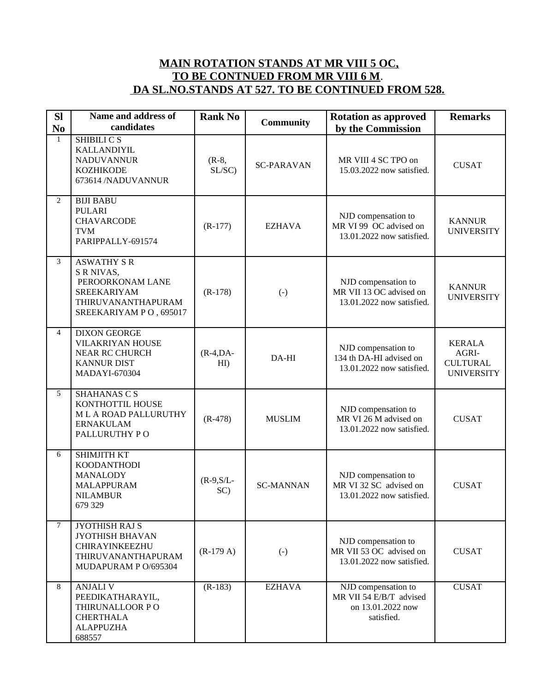## **MAIN ROTATION STANDS AT MR VIII 5 OC, TO BE CONTNUED FROM MR VIII 6 M**.  **DA SL.NO.STANDS AT 527. TO BE CONTINUED FROM 528.**

| <b>SI</b><br>N <sub>0</sub> | <b>Name and address of</b><br>candidates                                                                                   | <b>Rank No</b>      | <b>Community</b>  | <b>Rotation as approved</b><br>by the Commission                                  | <b>Remarks</b>                                                 |
|-----------------------------|----------------------------------------------------------------------------------------------------------------------------|---------------------|-------------------|-----------------------------------------------------------------------------------|----------------------------------------------------------------|
| $\mathbf{1}$                | SHIBILI C S<br>KALLANDIYIL<br><b>NADUVANNUR</b><br><b>KOZHIKODE</b><br>673614 /NADUVANNUR                                  | $(R-8,$<br>SL/SC    | <b>SC-PARAVAN</b> | MR VIII 4 SC TPO on<br>15.03.2022 now satisfied.                                  | <b>CUSAT</b>                                                   |
| $\overline{2}$              | <b>BIJI BABU</b><br><b>PULARI</b><br><b>CHAVARCODE</b><br><b>TVM</b><br>PARIPPALLY-691574                                  | $(R-177)$           | <b>EZHAVA</b>     | NJD compensation to<br>MR VI 99 OC advised on<br>13.01.2022 now satisfied.        | <b>KANNUR</b><br><b>UNIVERSITY</b>                             |
| 3                           | <b>ASWATHY S R</b><br>S R NIVAS,<br>PEROORKONAM LANE<br><b>SREEKARIYAM</b><br>THIRUVANANTHAPURAM<br>SREEKARIYAM PO, 695017 | $(R-178)$           | $(\cdot)$         | NJD compensation to<br>MR VII 13 OC advised on<br>13.01.2022 now satisfied.       | <b>KANNUR</b><br><b>UNIVERSITY</b>                             |
| 4                           | <b>DIXON GEORGE</b><br>VILAKRIYAN HOUSE<br><b>NEAR RC CHURCH</b><br><b>KANNUR DIST</b><br>MADAYI-670304                    | $(R-4,DA-$<br>HI)   | DA-HI             | NJD compensation to<br>134 th DA-HI advised on<br>13.01.2022 now satisfied.       | <b>KERALA</b><br>AGRI-<br><b>CULTURAL</b><br><b>UNIVERSITY</b> |
| 5                           | SHAHANAS C S<br>KONTHOTTIL HOUSE<br><b>ML A ROAD PALLURUTHY</b><br><b>ERNAKULAM</b><br>PALLURUTHY PO                       | $(R-478)$           | <b>MUSLIM</b>     | NJD compensation to<br>MR VI 26 M advised on<br>13.01.2022 now satisfied.         | <b>CUSAT</b>                                                   |
| 6                           | SHIMJITH KT<br><b>KOODANTHODI</b><br><b>MANALODY</b><br><b>MALAPPURAM</b><br><b>NILAMBUR</b><br>679 329                    | $(R-9, S/L-$<br>SC) | <b>SC-MANNAN</b>  | NJD compensation to<br>MR VI 32 SC advised on<br>13.01.2022 now satisfied.        | <b>CUSAT</b>                                                   |
| 7                           | JYOTHISH RAJ S<br><b>JYOTHISH BHAVAN</b><br>CHIRAYINKEEZHU<br>THIRUVANANTHAPURAM<br>MUDAPURAM P O/695304                   | $(R-179 A)$         | $(\cdot)$         | NJD compensation to<br>MR VII 53 OC advised on<br>13.01.2022 now satisfied.       | <b>CUSAT</b>                                                   |
| 8                           | <b>ANJALI V</b><br>PEEDIKATHARAYIL,<br>THIRUNALLOOR PO<br><b>CHERTHALA</b><br><b>ALAPPUZHA</b><br>688557                   | $(R-183)$           | <b>EZHAVA</b>     | NJD compensation to<br>MR VII 54 E/B/T advised<br>on 13.01.2022 now<br>satisfied. | <b>CUSAT</b>                                                   |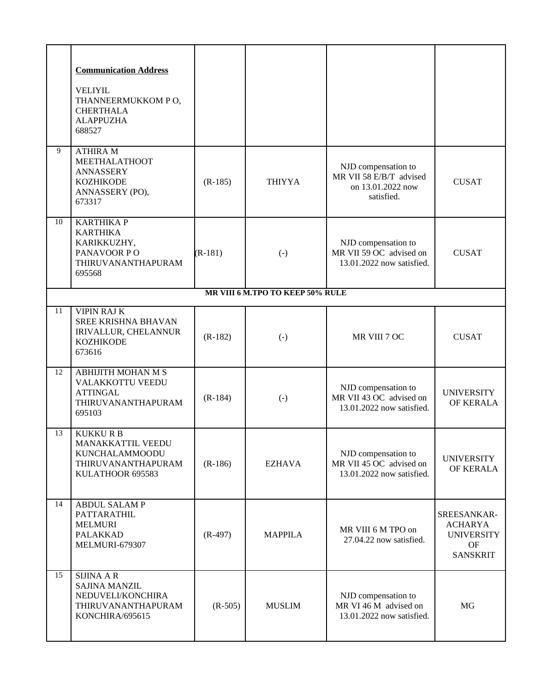|    | <b>Communication Address</b><br><b>VELIYIL</b><br>THANNEERMUKKOM PO,<br><b>CHERTHALA</b><br><b>ALAPPUZHA</b><br>688527 |           |                                  |                                                                                   |                                                                      |
|----|------------------------------------------------------------------------------------------------------------------------|-----------|----------------------------------|-----------------------------------------------------------------------------------|----------------------------------------------------------------------|
| 9  | <b>ATHIRA M</b><br><b>MEETHALATHOOT</b><br><b>ANNASSERY</b><br><b>KOZHIKODE</b><br>ANNASSERY (PO),<br>673317           | $(R-185)$ | <b>THIYYA</b>                    | NJD compensation to<br>MR VII 58 E/B/T advised<br>on 13.01.2022 now<br>satisfied. | <b>CUSAT</b>                                                         |
| 10 | <b>KARTHIKAP</b><br><b>KARTHIKA</b><br>KARIKKUZHY,<br>PANAVOOR PO<br>THIRUVANANTHAPURAM<br>695568                      | $(R-181)$ | $(-)$                            | NJD compensation to<br>MR VII 59 OC advised on<br>13.01.2022 now satisfied.       | <b>CUSAT</b>                                                         |
|    |                                                                                                                        |           | MR VIII 6 M.TPO TO KEEP 50% RULE |                                                                                   |                                                                      |
| 11 | <b>VIPIN RAJ K</b><br>SREE KRISHNA BHAVAN<br>IRIVALLUR, CHELANNUR<br><b>KOZHIKODE</b><br>673616                        | $(R-182)$ | $(\cdot)$                        | MR VIII 7 OC                                                                      | <b>CUSAT</b>                                                         |
| 12 | <b>ABHIJITH MOHAN M S</b><br>VALAKKOTTU VEEDU<br><b>ATTINGAL</b><br>THIRUVANANTHAPURAM<br>695103                       | $(R-184)$ | $(\cdot)$                        | NJD compensation to<br>MR VII 43 OC advised on<br>13.01.2022 now satisfied.       | <b>UNIVERSITY</b><br>OF KERALA                                       |
| 13 | KUKKU R B<br><b>MANAKKATTIL VEEDU</b><br><b>KUNCHALAMMOODU</b><br>THIRUVANANTHAPURAM<br>KULATHOOR 695583               | $(R-186)$ | EZHAVA                           | NJD compensation to<br>MR VII 45 OC advised on<br>13.01.2022 now satisfied.       | <b>UNIVERSITY</b><br>OF KERALA                                       |
| 14 | <b>ABDUL SALAMP</b><br>PATTARATHIL<br><b>MELMURI</b><br><b>PALAKKAD</b><br>MELMURI-679307                              | $(R-497)$ | <b>MAPPILA</b>                   | MR VIII 6 M TPO on<br>27.04.22 now satisfied.                                     | SREESANKAR-<br>ACHARYA<br><b>UNIVERSITY</b><br>OF<br><b>SANSKRIT</b> |
| 15 | <b>SIJINA A R</b><br><b>SAJINA MANZIL</b><br>NEDUVELI/KONCHIRA<br>THIRUVANANTHAPURAM<br>KONCHIRA/695615                | $(R-505)$ | <b>MUSLIM</b>                    | NJD compensation to<br>MR VI 46 M advised on<br>13.01.2022 now satisfied.         | MG                                                                   |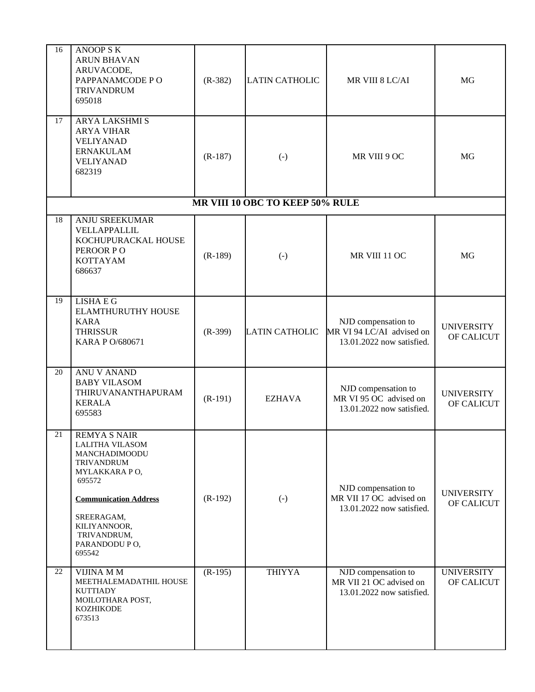| 16 | <b>ANOOP SK</b><br><b>ARUN BHAVAN</b><br>ARUVACODE,<br>PAPPANAMCODE PO<br><b>TRIVANDRUM</b><br>695018                                                                                                           | $(R-382)$ | <b>LATIN CATHOLIC</b>           | MR VIII 8 LC/AI                                                               | MG                              |
|----|-----------------------------------------------------------------------------------------------------------------------------------------------------------------------------------------------------------------|-----------|---------------------------------|-------------------------------------------------------------------------------|---------------------------------|
| 17 | ARYA LAKSHMI S<br><b>ARYA VIHAR</b><br><b>VELIYANAD</b><br><b>ERNAKULAM</b><br><b>VELIYANAD</b><br>682319                                                                                                       | $(R-187)$ | $\left( \cdot \right)$          | MR VIII 9 OC                                                                  | MG                              |
|    |                                                                                                                                                                                                                 |           | MR VIII 10 OBC TO KEEP 50% RULE |                                                                               |                                 |
| 18 | <b>ANJU SREEKUMAR</b><br>VELLAPPALLIL<br>KOCHUPURACKAL HOUSE<br>PEROOR PO<br><b>KOTTAYAM</b><br>686637                                                                                                          | $(R-189)$ | $\left( \cdot \right)$          | MR VIII 11 OC                                                                 | <b>MG</b>                       |
| 19 | LISHA E G<br>ELAMTHURUTHY HOUSE<br><b>KARA</b><br><b>THRISSUR</b><br><b>KARA P O/680671</b>                                                                                                                     | $(R-399)$ | <b>LATIN CATHOLIC</b>           | NJD compensation to<br>MR VI 94 LC/AI advised on<br>13.01.2022 now satisfied. | <b>UNIVERSITY</b><br>OF CALICUT |
| 20 | <b>ANU V ANAND</b><br><b>BABY VILASOM</b><br>THIRUVANANTHAPURAM<br><b>KERALA</b><br>695583                                                                                                                      | $(R-191)$ | EZHAVA                          | NJD compensation to<br>MR VI 95 OC advised on<br>13.01.2022 now satisfied.    | <b>UNIVERSITY</b><br>OF CALICUT |
| 21 | <b>REMYA S NAIR</b><br><b>LALITHA VILASOM</b><br>MANCHADIMOODU<br>TRIVANDRUM<br>MYLAKKARA PO,<br>695572<br><b>Communication Address</b><br>SREERAGAM,<br>KILIYANNOOR,<br>TRIVANDRUM,<br>PARANDODU PO,<br>695542 | $(R-192)$ | $(-)$                           | NJD compensation to<br>MR VII 17 OC advised on<br>13.01.2022 now satisfied.   | <b>UNIVERSITY</b><br>OF CALICUT |
| 22 | VIJINA M M<br>MEETHALEMADATHIL HOUSE<br><b>KUTTIADY</b><br>MOILOTHARA POST,<br><b>KOZHIKODE</b><br>673513                                                                                                       | $(R-195)$ | <b>THIYYA</b>                   | NJD compensation to<br>MR VII 21 OC advised on<br>13.01.2022 now satisfied.   | <b>UNIVERSITY</b><br>OF CALICUT |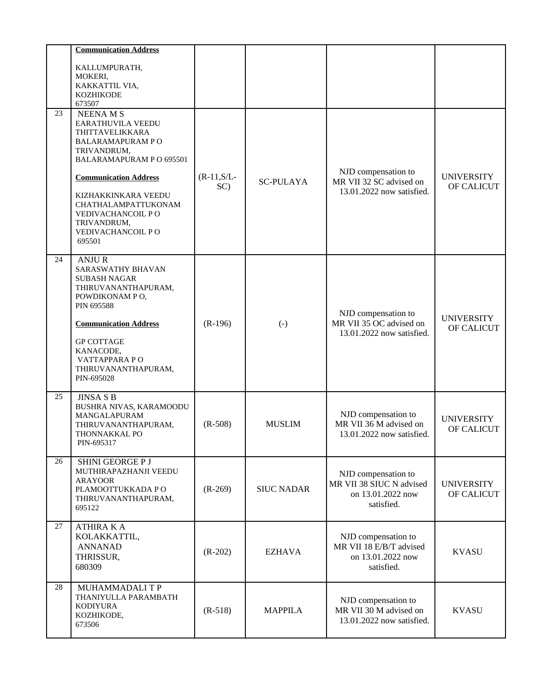|    | <b>Communication Address</b>                                                                                                                                                                                                                          |                      |                   |                                                                                    |                                 |
|----|-------------------------------------------------------------------------------------------------------------------------------------------------------------------------------------------------------------------------------------------------------|----------------------|-------------------|------------------------------------------------------------------------------------|---------------------------------|
|    | KALLUMPURATH,<br>MOKERI,<br>KAKKATTIL VIA,<br><b>KOZHIKODE</b><br>673507                                                                                                                                                                              |                      |                   |                                                                                    |                                 |
| 23 | <b>NEENAMS</b><br>EARATHUVILA VEEDU<br>THITTAVELIKKARA<br><b>BALARAMAPURAM PO</b><br>TRIVANDRUM,<br>BALARAMAPURAM PO 695501                                                                                                                           |                      |                   | NJD compensation to                                                                |                                 |
|    | <b>Communication Address</b><br>KIZHAKKINKARA VEEDU<br>CHATHALAMPATTUKONAM<br>VEDIVACHANCOIL PO<br>TRIVANDRUM,<br>VEDIVACHANCOIL PO<br>695501                                                                                                         | $(R-11, S/L-$<br>SC) | <b>SC-PULAYA</b>  | MR VII 32 SC advised on<br>13.01.2022 now satisfied.                               | <b>UNIVERSITY</b><br>OF CALICUT |
| 24 | <b>ANJUR</b><br><b>SARASWATHY BHAVAN</b><br><b>SUBASH NAGAR</b><br>THIRUVANANTHAPURAM,<br>POWDIKONAM PO,<br><b>PIN 695588</b><br><b>Communication Address</b><br><b>GP COTTAGE</b><br>KANACODE,<br>VATTAPPARA PO<br>THIRUVANANTHAPURAM,<br>PIN-695028 | $(R-196)$            | $(\cdot)$         | NJD compensation to<br>MR VII 35 OC advised on<br>13.01.2022 now satisfied.        | <b>UNIVERSITY</b><br>OF CALICUT |
| 25 | <b>JINSA S B</b><br>BUSHRA NIVAS, KARAMOODU<br>MANGALAPURAM<br>THIRUVANANTHAPURAM,<br>THONNAKKAL PO<br>PIN-695317                                                                                                                                     | $(R-508)$            | <b>MUSLIM</b>     | NJD compensation to<br>MR VII 36 M advised on<br>13.01.2022 now satisfied.         | <b>UNIVERSITY</b><br>OF CALICUT |
| 26 | SHINI GEORGE P J<br>MUTHIRAPAZHANJI VEEDU<br><b>ARAYOOR</b><br>PLAMOOTTUKKADA PO<br>THIRUVANANTHAPURAM,<br>695122                                                                                                                                     | $(R-269)$            | <b>SIUC NADAR</b> | NJD compensation to<br>MR VII 38 SIUC N advised<br>on 13.01.2022 now<br>satisfied. | <b>UNIVERSITY</b><br>OF CALICUT |
| 27 | <b>ATHIRA K A</b><br>KOLAKKATTIL,<br><b>ANNANAD</b><br>THRISSUR,<br>680309                                                                                                                                                                            | $(R-202)$            | EZHAVA            | NJD compensation to<br>MR VII 18 E/B/T advised<br>on 13.01.2022 now<br>satisfied.  | <b>KVASU</b>                    |
| 28 | MUHAMMADALI T P<br>THANIYULLA PARAMBATH<br><b>KODIYURA</b><br>KOZHIKODE,<br>673506                                                                                                                                                                    | $(R-518)$            | <b>MAPPILA</b>    | NJD compensation to<br>MR VII 30 M advised on<br>13.01.2022 now satisfied.         | <b>KVASU</b>                    |